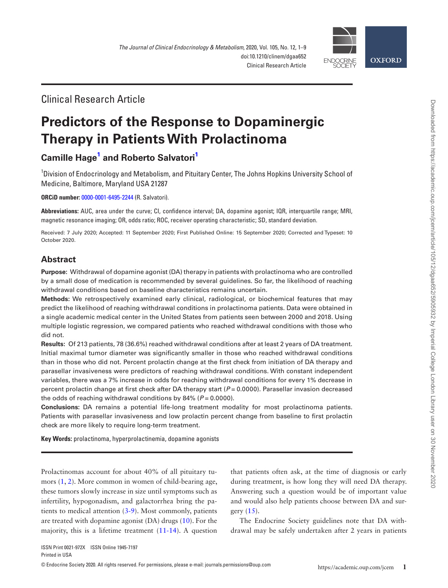

## Clinical Research Article

# **Predictors of the Response to Dopaminergic Therapy in Patients With Prolactinoma**

## **Camille Hag[e1](#page-0-0) and [Roberto Salvatori](http://orcid.org/0000-0001-6495-2244)[1](#page-0-0)**

<span id="page-0-0"></span><sup>1</sup>Division of Endocrinology and Metabolism, and Pituitary Center, The Johns Hopkins University School of Medicine, Baltimore, Maryland USA 21287

**ORCiD number:** [0000-0001-6495-2244](http://orcid.org/0000-0001-6495-2244) (R. Salvatori).

**Abbreviations:** AUC, area under the curve; CI, confidence interval; DA, dopamine agonist; IQR, interquartile range; MRI, magnetic resonance imaging; OR, odds ratio; ROC, receiver operating characteristic; SD, standard deviation.

Received: 7 July 2020; Accepted: 11 September 2020; First Published Online: 15 September 2020; Corrected and Typeset: 10 October 2020.

### **Abstract**

**Purpose:** Withdrawal of dopamine agonist (DA) therapy in patients with prolactinoma who are controlled by a small dose of medication is recommended by several guidelines. So far, the likelihood of reaching withdrawal conditions based on baseline characteristics remains uncertain.

**Methods:** We retrospectively examined early clinical, radiological, or biochemical features that may predict the likelihood of reaching withdrawal conditions in prolactinoma patients. Data were obtained in a single academic medical center in the United States from patients seen between 2000 and 2018. Using multiple logistic regression, we compared patients who reached withdrawal conditions with those who did not.

**Results:** Of 213 patients, 78 (36.6%) reached withdrawal conditions after at least 2 years of DA treatment. Initial maximal tumor diameter was significantly smaller in those who reached withdrawal conditions than in those who did not. Percent prolactin change at the first check from initiation of DA therapy and parasellar invasiveness were predictors of reaching withdrawal conditions. With constant independent variables, there was a 7% increase in odds for reaching withdrawal conditions for every 1% decrease in percent prolactin change at first check after DA therapy start (*P* = 0.0000). Parasellar invasion decreased the odds of reaching withdrawal conditions by 84% (*P* = 0.0000).

**Conclusions:** DA remains a potential life-long treatment modality for most prolactinoma patients. Patients with parasellar invasiveness and low prolactin percent change from baseline to first prolactin check are more likely to require long-term treatment.

**Key Words:** prolactinoma, hyperprolactinemia, dopamine agonists

Prolactinomas account for about 40% of all pituitary tumors [\(1](#page-7-0), [2](#page-7-1)). More common in women of child-bearing age, these tumors slowly increase in size until symptoms such as infertility, hypogonadism, and galactorrhea bring the patients to medical attention ([3-](#page-7-2)[9\)](#page-8-0). Most commonly, patients are treated with dopamine agonist (DA) drugs [\(10](#page-8-1)). For the majority, this is a lifetime treatment [\(11](#page-8-2)-[14\)](#page-8-3). A question

that patients often ask, at the time of diagnosis or early during treatment, is how long they will need DA therapy. Answering such a question would be of important value and would also help patients choose between DA and surgery [\(15\)](#page-8-4).

The Endocrine Society guidelines note that DA withdrawal may be safely undertaken after 2 years in patients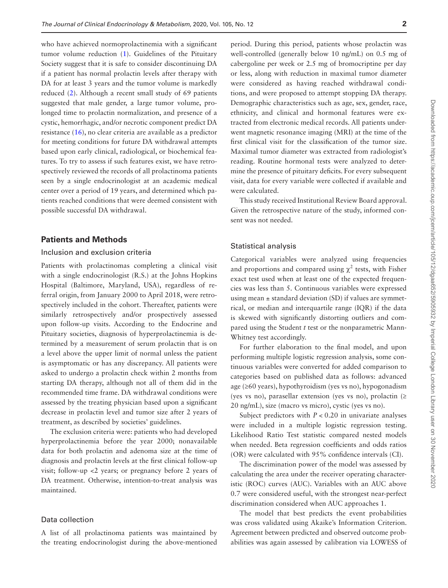who have achieved normoprolactinemia with a significant tumor volume reduction [\(1](#page-7-0)). Guidelines of the Pituitary Society suggest that it is safe to consider discontinuing DA if a patient has normal prolactin levels after therapy with DA for at least 3 years and the tumor volume is markedly reduced [\(2\)](#page-7-1). Although a recent small study of 69 patients suggested that male gender, a large tumor volume, prolonged time to prolactin normalization, and presence of a cystic, hemorrhagic, and/or necrotic component predict DA resistance ([16\)](#page-8-5), no clear criteria are available as a predictor for meeting conditions for future DA withdrawal attempts based upon early clinical, radiological, or biochemical features. To try to assess if such features exist, we have retrospectively reviewed the records of all prolactinoma patients seen by a single endocrinologist at an academic medical center over a period of 19 years, and determined which patients reached conditions that were deemed consistent with possible successful DA withdrawal.

#### **Patients and Methods**

#### Inclusion and exclusion criteria

Patients with prolactinomas completing a clinical visit with a single endocrinologist (R.S.) at the Johns Hopkins Hospital (Baltimore, Maryland, USA), regardless of referral origin, from January 2000 to April 2018, were retrospectively included in the cohort. Thereafter, patients were similarly retrospectively and/or prospectively assessed upon follow-up visits. According to the Endocrine and Pituitary societies, diagnosis of hyperprolactinemia is determined by a measurement of serum prolactin that is on a level above the upper limit of normal unless the patient is asymptomatic or has any discrepancy. All patients were asked to undergo a prolactin check within 2 months from starting DA therapy, although not all of them did in the recommended time frame. DA withdrawal conditions were assessed by the treating physician based upon a significant decrease in prolactin level and tumor size after 2 years of treatment, as described by societies' guidelines.

The exclusion criteria were: patients who had developed hyperprolactinemia before the year 2000; nonavailable data for both prolactin and adenoma size at the time of diagnosis and prolactin levels at the first clinical follow-up visit; follow-up <2 years; or pregnancy before 2 years of DA treatment. Otherwise, intention-to-treat analysis was maintained.

#### Data collection

A list of all prolactinoma patients was maintained by the treating endocrinologist during the above-mentioned

period. During this period, patients whose prolactin was well-controlled (generally below 10 ng/mL) on 0.5 mg of cabergoline per week or 2.5 mg of bromocriptine per day or less, along with reduction in maximal tumor diameter were considered as having reached withdrawal conditions, and were proposed to attempt stopping DA therapy. Demographic characteristics such as age, sex, gender, race, ethnicity, and clinical and hormonal features were extracted from electronic medical records. All patients underwent magnetic resonance imaging (MRI) at the time of the first clinical visit for the classification of the tumor size. Maximal tumor diameter was extracted from radiologist's reading. Routine hormonal tests were analyzed to determine the presence of pituitary deficits. For every subsequent visit, data for every variable were collected if available and were calculated.

This study received Institutional Review Board approval. Given the retrospective nature of the study, informed consent was not needed.

#### Statistical analysis

Categorical variables were analyzed using frequencies and proportions and compared using  $\chi^2$  tests, with Fisher exact test used when at least one of the expected frequencies was less than 5. Continuous variables were expressed using mean  $\pm$  standard deviation (SD) if values are symmetrical, or median and interquartile range (IQR) if the data is skewed with significantly distorting outliers and compared using the Student *t* test or the nonparametric Mann-Whitney test accordingly.

For further elaboration to the final model, and upon performing multiple logistic regression analysis, some continuous variables were converted for added comparison to categories based on published data as follows: advanced age (≥60 years), hypothyroidism (yes vs no), hypogonadism (yes vs no), parasellar extension (yes vs no), prolactin (≥ 20 ng/mL), size (macro vs micro), cystic (yes vs no).

Subject predictors with  $P < 0.20$  in univariate analyses were included in a multiple logistic regression testing. Likelihood Ratio Test statistic compared nested models when needed. Beta regression coefficients and odds ratios (OR) were calculated with 95% confidence intervals (CI).

The discrimination power of the model was assessed by calculating the area under the receiver operating characteristic (ROC) curves (AUC). Variables with an AUC above 0.7 were considered useful, with the strongest near-perfect discrimination considered when AUC approaches 1.

The model that best predicts the event probabilities was cross validated using Akaike's Information Criterion. Agreement between predicted and observed outcome probabilities was again assessed by calibration via LOWESS of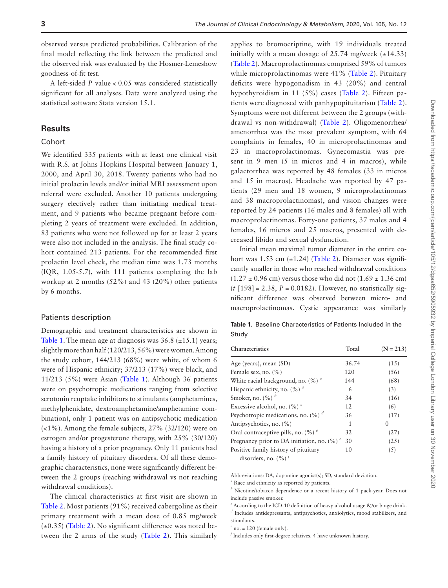observed versus predicted probabilities. Calibration of the final model reflecting the link between the predicted and the observed risk was evaluated by the Hosmer-Lemeshow goodness-of-fit test.

A left-sided *P* value < 0.05 was considered statistically significant for all analyses. Data were analyzed using the statistical software Stata version 15.1.

#### **Results**

#### **Cohort**

We identified 335 patients with at least one clinical visit with R.S. at Johns Hopkins Hospital between January 1, 2000, and April 30, 2018. Twenty patients who had no initial prolactin levels and/or initial MRI assessment upon referral were excluded. Another 10 patients undergoing surgery electively rather than initiating medical treatment, and 9 patients who became pregnant before completing 2 years of treatment were excluded. In addition, 83 patients who were not followed up for at least 2 years were also not included in the analysis. The final study cohort contained 213 patients. For the recommended first prolactin level check, the median time was 1.73 months (IQR, 1.05-5.7), with 111 patients completing the lab workup at 2 months (52%) and 43 (20%) other patients by 6 months.

#### Patients description

Demographic and treatment characteristics are shown in [Table 1](#page-2-0). The mean age at diagnosis was  $36.8$  ( $\pm$ 15.1) years; slightly more than half (120/213, 56%) were women. Among the study cohort, 144/213 (68%) were white, of whom 6 were of Hispanic ethnicity; 37/213 (17%) were black, and 11/213 (5%) were Asian ([Table 1](#page-2-0)). Although 36 patients were on psychotropic medications ranging from selective serotonin reuptake inhibitors to stimulants (amphetamines, methylphenidate, dextroamphetamine/amphetamine combination), only 1 patient was on antipsychotic medication (<1%). Among the female subjects, 27% (32/120) were on estrogen and/or progesterone therapy, with 25% (30/120) having a history of a prior pregnancy. Only 11 patients had a family history of pituitary disorders. Of all these demographic characteristics, none were significantly different between the 2 groups (reaching withdrawal vs not reaching withdrawal conditions).

The clinical characteristics at first visit are shown in [Table 2](#page-3-0). Most patients (91%) received cabergoline as their primary treatment with a mean dose of 0.85 mg/week  $(\pm 0.35)$  ([Table 2\)](#page-3-0). No significant difference was noted between the 2 arms of the study ([Table 2](#page-3-0)). This similarly

applies to bromocriptine, with 19 individuals treated initially with a mean dosage of 25.74 mg/week  $(\pm 14.33)$ ([Table 2\)](#page-3-0). Macroprolactinomas comprised 59% of tumors while microprolactinomas were 41% ([Table 2\)](#page-3-0). Pituitary deficits were hypogonadism in 43 (20%) and central hypothyroidism in 11 (5%) cases [\(Table 2](#page-3-0)). Fifteen patients were diagnosed with panhypopituitarism ([Table 2](#page-3-0)). Symptoms were not different between the 2 groups (withdrawal vs non-withdrawal) ([Table 2\)](#page-3-0). Oligomenorrhea/ amenorrhea was the most prevalent symptom, with 64 complaints in females, 40 in microprolactinomas and 23 in macroprolactinomas. Gynecomastia was present in 9 men (5 in micros and 4 in macros), while galactorrhea was reported by 48 females (33 in micros and 15 in macros). Headache was reported by 47 patients (29 men and 18 women, 9 microprolactinomas and 38 macroprolactinomas), and vision changes were reported by 24 patients (16 males and 8 females) all with macroprolactinomas. Forty-one patients, 37 males and 4 females, 16 micros and 25 macros, presented with decreased libido and sexual dysfunction.

Initial mean maximal tumor diameter in the entire cohort was 1.53 cm  $(\pm 1.24)$  ([Table 2\)](#page-3-0). Diameter was significantly smaller in those who reached withdrawal conditions  $(1.27 \pm 0.96 \text{ cm})$  versus those who did not  $(1.69 \pm 1.36 \text{ cm})$  $(t$  [198] = 2.38,  $P = 0.0182$ ). However, no statistically significant difference was observed between micro- and macroprolactinomas. Cystic appearance was similarly

<span id="page-2-0"></span>**Table 1.** Baseline Characteristics of Patients Included in the Study

| Characteristics                                                            | Total | $(N = 213)$ |
|----------------------------------------------------------------------------|-------|-------------|
| Age (years), mean (SD)                                                     | 36.74 | (15)        |
| Female sex, no. $(\% )$                                                    | 120   | (56)        |
| White racial background, no. $(\%)$ <sup><math>a</math></sup>              | 144   | (68)        |
| Hispanic ethnicity, no. $(\%)$ <sup>a</sup>                                | 6     | (3)         |
| Smoker, no. $(\%)$ <sup>b</sup>                                            | 34    | (16)        |
| Excessive alcohol, no. $(\%)^c$                                            | 12    | (6)         |
| Psychotropic medications, no. $(\%)$ <sup>d</sup>                          | 36    | (17)        |
| Antipsychotics, no. (%)                                                    | 1     | 0           |
| Oral contraceptive pills, no. $(\%)$ <sup>e</sup>                          | 32    | (27)        |
| Pregnancy prior to DA initiation, no. $(\%)$ <sup>e</sup>                  | 30    | (25)        |
| Positive family history of pituitary<br>disorders, no. $(\%)$ <sup>f</sup> | 10    | (5)         |

Abbreviations: DA, dopamine agonist(s); SD, standard deviation.

*a* Race and ethnicity as reported by patients.

*b* Nicotine/tobacco dependence or a recent history of 1 pack-year. Does not include passive smoker.

<sup>c</sup> According to the ICD-10 definition of heavy alcohol usage &/or binge drink. *d* Includes antidepressants, antipsychotics, anxiolytics, mood stabilizers, and stimulants.

 $e^e$  no. = 120 (female only).

*f* Includes only first-degree relatives. 4 have unknown history.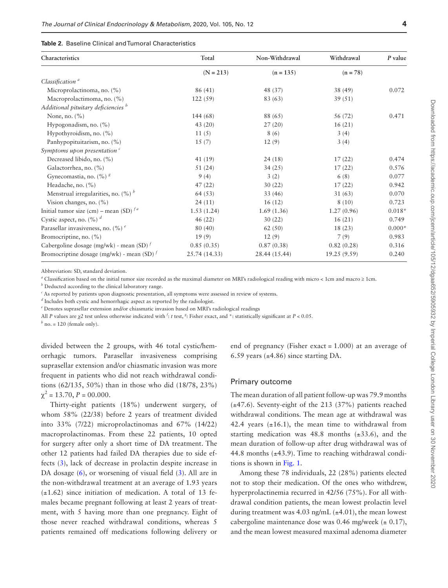#### <span id="page-3-0"></span>**Table 2.** Baseline Clinical and Tumoral Characteristics

| Characteristics                                   | Total         | Non-Withdrawal | Withdrawal   | $P$ value |
|---------------------------------------------------|---------------|----------------|--------------|-----------|
|                                                   | $(N = 213)$   | $(n = 135)$    | $(n = 78)$   |           |
| Classification <sup>a</sup>                       |               |                |              |           |
| Microprolactinoma, no. (%)                        | 86 (41)       | 48 (37)        | 38 (49)      | 0.072     |
| Macroprolactimoma, no. (%)                        | 122(59)       | 83 (63)        | 39(51)       |           |
| Additional pituitary deficiencies <sup>b</sup>    |               |                |              |           |
| None, no. $(\% )$                                 | 144 (68)      | 88 (65)        | 56 (72)      | 0.471     |
| Hypogonadism, no. $(\% )$                         | 43(20)        | 27(20)         | 16(21)       |           |
| Hypothyroidism, no. $(\% )$                       | 11(5)         | 8(6)           | 3(4)         |           |
| Panhypopituitarism, no. (%)                       | 15(7)         | 12(9)          | 3(4)         |           |
| Symptoms upon presentation $\epsilon$             |               |                |              |           |
| Decreased libido, no. (%)                         | 41 (19)       | 24(18)         | 17(22)       | 0.474     |
| Galactorrhea, no. (%)                             | 51(24)        | 34(25)         | 17(22)       | 0.576     |
| Gynecomastia, no. (%) <sup>8</sup>                | 9(4)          | 3(2)           | 6(8)         | 0.077     |
| Headache, no. (%)                                 | 47(22)        | 30(22)         | 17(22)       | 0.942     |
| Menstrual irregularities, no. $(\%)$ <sup>b</sup> | 64 (53)       | 33(46)         | 31(63)       | 0.070     |
| Vision changes, no. $(\%)$                        | 24(11)        | 16(12)         | 8(10)        | 0.723     |
| Initial tumor size (cm) – mean (SD) $f^a$         | 1.53(1.24)    | 1.69(1.36)     | 1.27(0.96)   | $0.018*$  |
| Cystic aspect, no. $(\%)$ <sup>d</sup>            | 46(22)        | 30(22)         | 16(21)       | 0.749     |
| Parasellar invasiveness, no. $(\%)$ <sup>e</sup>  | 80(40)        | 62(50)         | 18(23)       | $0.000*$  |
| Bromocriptine, no. (%)                            | 19(9)         | 12(9)          | 7(9)         | 0.983     |
| Cabergoline dosage (mg/wk) - mean (SD) $t$        | 0.85(0.35)    | 0.87(0.38)     | 0.82(0.28)   | 0.316     |
| Bromocriptine dosage (mg/wk) - mean (SD) $t$      | 25.74 (14.33) | 28.44 (15.44)  | 19.25 (9.59) | 0.240     |

Abbreviation: SD, standard deviation.

*a* Classification based on the initial tumor size recorded as the maximal diameter on MRI's radiological reading with micro < 1cm and macro ≥ 1cm.

*b* Deducted according to the clinical laboratory range.

*c* As reported by patients upon diagnostic presentation, all symptoms were assessed in review of systems.

*d* Includes both cystic and hemorrhagic aspect as reported by the radiologist.

*e* Denotes suprasellar extension and/or chiasmatic invasion based on MRI's radiological readings

All *P* values are *χ2* test unless otherwise indicated with *<sup>f</sup>* : *t* test, *<sup>g</sup>* : Fisher exact, and \*: statistically significant at *P* < 0.05.

 $h$  no. = 120 (female only).

divided between the 2 groups, with 46 total cystic/hemorrhagic tumors. Parasellar invasiveness comprising suprasellar extension and/or chiasmatic invasion was more frequent in patients who did not reach withdrawal conditions (62/135, 50%) than in those who did (18/78, 23%)  $\chi^2 = 13.70$ ,  $P = 00.000$ .

Thirty-eight patients (18%) underwent surgery, of whom 58% (22/38) before 2 years of treatment divided into 33% (7/22) microprolactinomas and 67% (14/22) macroprolactinomas. From these 22 patients, 10 opted for surgery after only a short time of DA treatment. The other 12 patients had failed DA therapies due to side effects [\(3\)](#page-7-2), lack of decrease in prolactin despite increase in DA dosage ([6](#page-7-3)), or worsening of visual field ([3\)](#page-7-2). All are in the non-withdrawal treatment at an average of 1.93 years  $(\pm 1.62)$  since initiation of medication. A total of 13 females became pregnant following at least 2 years of treatment, with 5 having more than one pregnancy. Eight of those never reached withdrawal conditions, whereas 5 patients remained off medications following delivery or

end of pregnancy (Fisher exact = 1.000) at an average of 6.59 years  $(\pm 4.86)$  since starting DA.

#### Primary outcome

The mean duration of all patient follow-up was 79.9 months (±47.6). Seventy-eight of the 213 (37%) patients reached withdrawal conditions. The mean age at withdrawal was 42.4 years  $(\pm 16.1)$ , the mean time to withdrawal from starting medication was  $48.8$  months  $(\pm 33.6)$ , and the mean duration of follow-up after drug withdrawal was of 44.8 months  $(\pm 43.9)$ . Time to reaching withdrawal conditions is shown in [Fig. 1](#page-4-0).

Among these 78 individuals, 22 (28%) patients elected not to stop their medication. Of the ones who withdrew, hyperprolactinemia recurred in 42/56 (75%). For all withdrawal condition patients, the mean lowest prolactin level during treatment was 4.03 ng/mL  $(\pm 4.01)$ , the mean lowest cabergoline maintenance dose was 0.46 mg/week ( $\pm$  0.17), and the mean lowest measured maximal adenoma diameter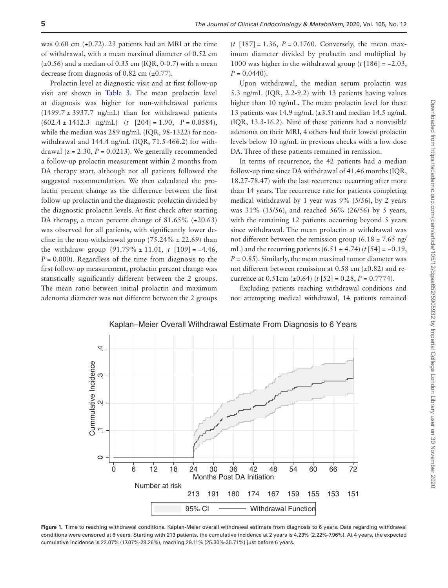was 0.60 cm  $(\pm 0.72)$ . 23 patients had an MRI at the time of withdrawal, with a mean maximal diameter of 0.52 cm  $(\pm 0.56)$  and a median of 0.35 cm (IQR, 0-0.7) with a mean decrease from diagnosis of 0.82 cm  $(\pm 0.77)$ .

Prolactin level at diagnostic visit and at first follow-up visit are shown in [Table 3.](#page-5-0) The mean prolactin level at diagnosis was higher for non-withdrawal patients  $(1499.7 \pm 3937.7 \text{ ng/mL})$  than for withdrawal patients  $(602.4 \pm 1412.3 \text{ ng/mL})$   $(t \ [204] = 1.90, P = 0.0584)$ , while the median was 289 ng/mL (IQR, 98-1322) for nonwithdrawal and 144.4 ng/mL (IQR, 71.5-466.2) for withdrawal ( $z = 2.30$ ,  $P = 0.0213$ ). We generally recommended a follow-up prolactin measurement within 2 months from DA therapy start, although not all patients followed the suggested recommendation. We then calculated the prolactin percent change as the difference between the first follow-up prolactin and the diagnostic prolactin divided by the diagnostic prolactin levels. At first check after starting DA therapy, a mean percent change of 81.65% (±20.63) was observed for all patients, with significantly lower decline in the non-withdrawal group  $(75.24\% \pm 22.69)$  than the withdraw group  $(91.79\% \pm 11.01, t \cdot [109] = -4.46,$  $P = 0.000$ . Regardless of the time from diagnosis to the first follow-up measurement, prolactin percent change was statistically significantly different between the 2 groups. The mean ratio between initial prolactin and maximum adenoma diameter was not different between the 2 groups

(*t* [187] = 1.36, *P* = 0.1760. Conversely, the mean maximum diameter divided by prolactin and multiplied by 1000 was higher in the withdrawal group (*t* [186] = −2.03,  $P = 0.0440$ .

Upon withdrawal, the median serum prolactin was 5.3 ng/mL (IQR, 2.2-9.2) with 13 patients having values higher than 10 ng/mL. The mean prolactin level for these 13 patients was 14.9 ng/mL  $(\pm 3.5)$  and median 14.5 ng/mL (IQR, 13.3-16.2). Nine of these patients had a nonvisible adenoma on their MRI, 4 others had their lowest prolactin levels below 10 ng/mL in previous checks with a low dose DA. Three of these patients remained in remission.

In terms of recurrence, the 42 patients had a median follow-up time since DA withdrawal of 41.46 months (IQR, 18.27-78.47) with the last recurrence occurring after more than 14 years. The recurrence rate for patients completing medical withdrawal by 1 year was 9% (5/56), by 2 years was 31% (15/56), and reached 56% (26/56) by 5 years, with the remaining 12 patients occurring beyond 5 years since withdrawal. The mean prolactin at withdrawal was not different between the remission group (6.18  $\pm$  7.65 ng/ mL) and the recurring patients  $(6.51 \pm 4.74)$   $(t \cdot 54] = -0.19$ ,  $P = 0.85$ ). Similarly, the mean maximal tumor diameter was not different between remission at  $0.58$  cm  $(\pm 0.82)$  and recurrence at 0.51cm ( $\pm$ 0.64) (*t* [52] = 0.28, *P* = 0.7774).

Excluding patients reaching withdrawal conditions and not attempting medical withdrawal, 14 patients remained



Kaplan−Meier Overall Withdrawal Estimate From Diagnosis to 6 Years

<span id="page-4-0"></span>**Figure 1.** Time to reaching withdrawal conditions. Kaplan-Meier overall withdrawal estimate from diagnosis to 6 years. Data regarding withdrawal conditions were censored at 6 years. Starting with 213 patients, the cumulative incidence at 2 years is 4.23% (2.22%-7.96%). At 4 years, the expected cumulative incidence is 22.07% (17.07%-28.26%), reaching 29.11% (25.30%-35.71%) just before 6 years.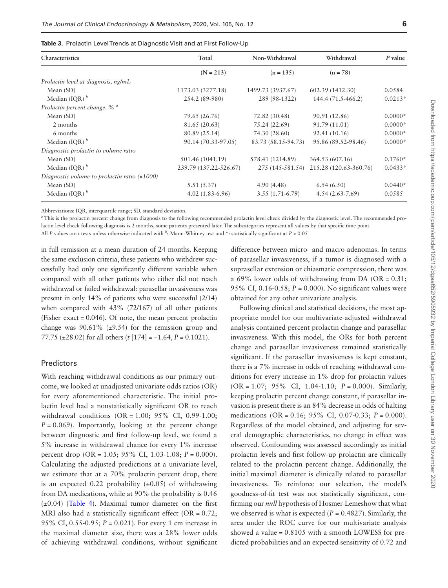<span id="page-5-0"></span>

|  |  |  |  | Table 3. Prolactin Level Trends at Diagnostic Visit and at First Follow-Up |  |  |  |  |  |
|--|--|--|--|----------------------------------------------------------------------------|--|--|--|--|--|
|--|--|--|--|----------------------------------------------------------------------------|--|--|--|--|--|

| Characteristics                                | Total                  | Non-Withdrawal      | Withdrawal             | P value   |  |
|------------------------------------------------|------------------------|---------------------|------------------------|-----------|--|
|                                                | $(N = 213)$            | $(n = 135)$         | $(n = 78)$             |           |  |
| Prolactin level at diagnosis, ng/mL            |                        |                     |                        |           |  |
| Mean $(SD)$                                    | 1173.03 (3277.18)      | 1499.73 (3937.67)   | 602.39 (1412.30)       | 0.0584    |  |
| Median (IQR) $b$                               | 254.2 (89-980)         | 289 (98-1322)       | 144.4 (71.5-466.2)     | $0.0213*$ |  |
| Prolactin percent change, % <sup>a</sup>       |                        |                     |                        |           |  |
| Mean $(SD)$                                    | 79.65 (26.76)          | 72.82 (30.48)       | 90.91 (12.86)          | $0.0000*$ |  |
| 2 months                                       | 81.65 (20.63)          | 75.24 (22.69)       | 91.79 (11.01)          | $0.0000*$ |  |
| 6 months                                       | 80.89 (25.14)          | 74.30 (28.60)       | 92.41 (10.16)          | $0.0000*$ |  |
| Median (IQR) $b$                               | 90.14 (70.33-97.05)    | 83.73 (58.15-94.73) | 95.86 (89.52-98.46)    | $0.0000*$ |  |
| Diagnostic prolactin to volume ratio           |                        |                     |                        |           |  |
| Mean $(SD)$                                    | 501.46 (1041.19)       | 578.41 (1214.89)    | 364.53 (607.16)        | $0.1760*$ |  |
| Median (IQR) $^b$                              | 239.79 (137.22-526.67) | 275 (145-581.54)    | 215.28 (120.63-360.76) | $0.0433*$ |  |
| Diagnostic volume to prolactin ratio $(x1000)$ |                        |                     |                        |           |  |
| Mean $(SD)$                                    | 5.51(5.37)             | 4.90(4.48)          | 6.54(6.50)             | $0.0440*$ |  |
| Median (IQR) $b$                               | $4.02(1.83-6.96)$      | $3.55(1.71-6.79)$   | $4.54(2.63-7.69)$      | 0.0585    |  |

Abbreviations: IQR, interquartile range; SD, standard deviation.

*a* This is the prolactin percent change from diagnosis to the following recommended prolactin level check divided by the diagnostic level. The recommended prolactin level check following diagnosis is 2 months, some patients presented later. The subcategories represent all values by that specific time point.

All *P* values are *t* tests unless otherwise indicated with *<sup>b</sup>* : Mann-Whitney test and \*: statistically significant at *P* < 0.05

in full remission at a mean duration of 24 months. Keeping the same exclusion criteria, these patients who withdrew successfully had only one significantly different variable when compared with all other patients who either did not reach withdrawal or failed withdrawal: parasellar invasiveness was present in only 14% of patients who were successful (2/14) when compared with 43% (72/167) of all other patients (Fisher exact = 0.046). Of note, the mean percent prolactin change was  $90.61\%$  ( $\pm 9.54$ ) for the remission group and 77.75 (±28.02) for all others (*t* [174] = −1.64, *P* = 0.1021).

#### Predictors

With reaching withdrawal conditions as our primary outcome, we looked at unadjusted univariate odds ratios (OR) for every aforementioned characteristic. The initial prolactin level had a nonstatistically significant OR to reach withdrawal conditions (OR = 1.00; 95% CI, 0.99-1.00;  $P = 0.069$ . Importantly, looking at the percent change between diagnostic and first follow-up level, we found a 5% increase in withdrawal chance for every 1% increase percent drop (OR = 1.05; 95% CI, 1.03-1.08; *P* = 0.000). Calculating the adjusted predictions at a univariate level, we estimate that at a 70% prolactin percent drop, there is an expected 0.22 probability  $(\pm 0.05)$  of withdrawing from DA medications, while at 90% the probability is 0.46  $(\pm 0.04)$  (Table 4). Maximal tumor diameter on the first MRI also had a statistically significant effect  $(OR = 0.72)$ ; 95% CI, 0.55-0.95; *P* = 0.021). For every 1 cm increase in the maximal diameter size, there was a 28% lower odds of achieving withdrawal conditions, without significant

difference between micro- and macro-adenomas. In terms of parasellar invasiveness, if a tumor is diagnosed with a suprasellar extension or chiasmatic compression, there was a 69% lower odds of withdrawing from DA (OR =  $0.31$ ; 95% CI, 0.16-0.58; *P* = 0.000). No significant values were obtained for any other univariate analysis.

Following clinical and statistical decisions, the most appropriate model for our multivariate-adjusted withdrawal analysis contained percent prolactin change and parasellar invasiveness. With this model, the ORs for both percent change and parasellar invasiveness remained statistically significant. If the parasellar invasiveness is kept constant, there is a 7% increase in odds of reaching withdrawal conditions for every increase in 1% drop for prolactin values (OR = 1.07; 95% CI, 1.04-1.10; *P* = 0.000). Similarly, keeping prolactin percent change constant, if parasellar invasion is present there is an 84% decrease in odds of halting medications (OR = 0.16; 95% CI, 0.07-0.33; *P* = 0.000). Regardless of the model obtained, and adjusting for several demographic characteristics, no change in effect was observed. Confounding was assessed accordingly as initial prolactin levels and first follow-up prolactin are clinically related to the prolactin percent change. Additionally, the initial maximal diameter is clinically related to parasellar invasiveness. To reinforce our selection, the model's goodness-of-fit test was not statistically significant, confirming our *null* hypothesis of Hosmer-Lemeshow that what we observed is what is expected  $(P = 0.4827)$ . Similarly, the area under the ROC curve for our multivariate analysis showed a value = 0.8105 with a smooth LOWESS for predicted probabilities and an expected sensitivity of 0.72 and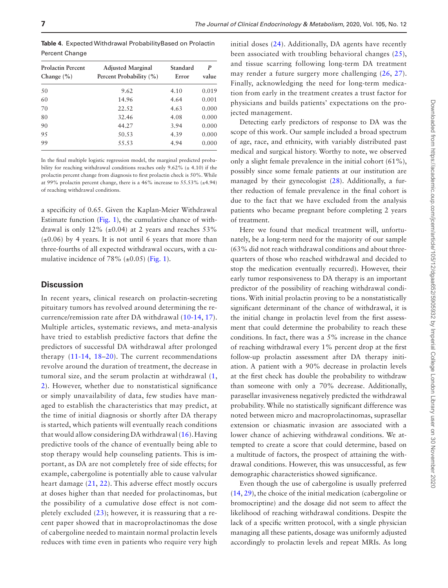<span id="page-6-0"></span>**Table 4.** Expected Withdrawal ProbabilityBased on Prolactin Percent Change

| <b>Prolactin Percent</b><br>Change $(\% )$ | <b>Adjusted Marginal</b><br>Percent Probability (%) | Standard<br>Error | P<br>value |  |
|--------------------------------------------|-----------------------------------------------------|-------------------|------------|--|
| 50                                         | 9.62                                                | 4.10              | 0.019      |  |
| 60                                         | 14.96                                               | 4.64              | 0.001      |  |
| 70                                         | 22.52                                               | 4.63              | 0.000      |  |
| 80                                         | 32.46                                               | 4.08              | 0.000      |  |
| 90                                         | 44.27                                               | 3.94              | 0.000      |  |
| 95                                         | 50.53                                               | 4.39              | 0.000      |  |
| 99                                         | 55.53                                               | 4.94              | 0.000      |  |

In the final multiple logistic regression model, the marginal predicted probability for reaching withdrawal conditions reaches only  $9.62\%$  ( $\pm$  4.10) if the prolactin percent change from diagnosis to first prolactin check is 50%. While at 99% prolactin percent change, there is a 46% increase to 55.53% (±4.94) of reaching withdrawal conditions.

a specificity of 0.65. Given the Kaplan-Meier Withdrawal Estimate function ([Fig. 1](#page-4-0)), the cumulative chance of withdrawal is only 12%  $(\pm 0.04)$  at 2 years and reaches 53%  $(\pm 0.06)$  by 4 years. It is not until 6 years that more than three-fourths of all expected withdrawal occurs, with a cumulative incidence of 78%  $(\pm 0.05)$  [\(Fig. 1\)](#page-4-0).

#### **Discussion**

In recent years, clinical research on prolactin-secreting pituitary tumors has revolved around determining the recurrence/remission rate after DA withdrawal [\(10](#page-8-1)[-14,](#page-8-3) [17](#page-8-6)). Multiple articles, systematic reviews, and meta-analysis have tried to establish predictive factors that define the predictors of successful DA withdrawal after prolonged therapy ([11](#page-8-2)-[14](#page-8-3), [18–](#page-8-7)[20](#page-8-8)). The current recommendations revolve around the duration of treatment, the decrease in tumoral size, and the serum prolactin at withdrawal ([1](#page-7-0), [2\)](#page-7-1). However, whether due to nonstatistical significance or simply unavailability of data, few studies have managed to establish the characteristics that may predict, at the time of initial diagnosis or shortly after DA therapy is started, which patients will eventually reach conditions that would allow considering DA withdrawal ([16](#page-8-5)). Having predictive tools of the chance of eventually being able to stop therapy would help counseling patients. This is important, as DA are not completely free of side effects; for example, cabergoline is potentially able to cause valvular heart damage ([21](#page-8-9), [22](#page-8-10)). This adverse effect mostly occurs at doses higher than that needed for prolactinomas, but the possibility of a cumulative dose effect is not completely excluded ([23\)](#page-8-11); however, it is reassuring that a recent paper showed that in macroprolactinomas the dose of cabergoline needed to maintain normal prolactin levels reduces with time even in patients who require very high

initial doses [\(24\)](#page-8-12). Additionally, DA agents have recently been associated with troubling behavioral changes ([25](#page-8-13)), and tissue scarring following long-term DA treatment may render a future surgery more challenging ([26,](#page-8-14) [27](#page-8-15)). Finally, acknowledging the need for long-term medication from early in the treatment creates a trust factor for physicians and builds patients' expectations on the projected management.

Detecting early predictors of response to DA was the scope of this work. Our sample included a broad spectrum of age, race, and ethnicity, with variably distributed past medical and surgical history. Worthy to note, we observed only a slight female prevalence in the initial cohort (61%), possibly since some female patients at our institution are managed by their gynecologist [\(28\)](#page-8-16). Additionally, a further reduction of female prevalence in the final cohort is due to the fact that we have excluded from the analysis patients who became pregnant before completing 2 years of treatment.

Here we found that medical treatment will, unfortunately, be a long-term need for the majority of our sample (63% did not reach withdrawal conditions and about threequarters of those who reached withdrawal and decided to stop the medication eventually recurred). However, their early tumor responsiveness to DA therapy is an important predictor of the possibility of reaching withdrawal conditions. With initial prolactin proving to be a nonstatistically significant determinant of the chance of withdrawal, it is the initial change in prolactin level from the first assessment that could determine the probability to reach these conditions. In fact, there was a 5% increase in the chance of reaching withdrawal every 1% percent drop at the first follow-up prolactin assessment after DA therapy initiation. A patient with a 90% decrease in prolactin levels at the first check has double the probability to withdraw than someone with only a 70% decrease. Additionally, parasellar invasiveness negatively predicted the withdrawal probability. While no statistically significant difference was noted between micro and macroprolactinomas, suprasellar extension or chiasmatic invasion are associated with a lower chance of achieving withdrawal conditions. We attempted to create a score that could determine, based on a multitude of factors, the prospect of attaining the withdrawal conditions. However, this was unsuccessful, as few demographic characteristics showed significance.

Even though the use of cabergoline is usually preferred ([14](#page-8-3), [29\)](#page-8-17), the choice of the initial medication (cabergoline or bromocriptine) and the dosage did not seem to affect the likelihood of reaching withdrawal conditions. Despite the lack of a specific written protocol, with a single physician managing all these patients, dosage was uniformly adjusted accordingly to prolactin levels and repeat MRIs. As long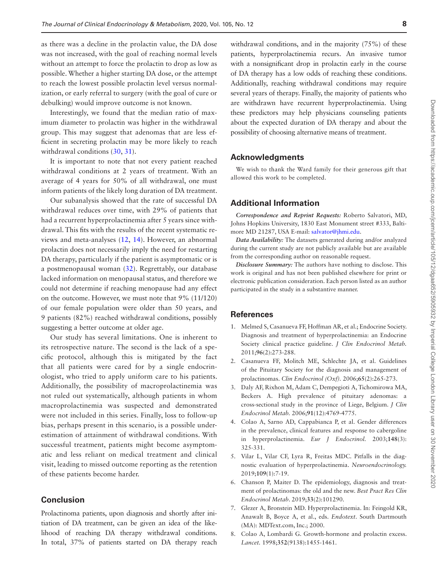as there was a decline in the prolactin value, the DA dose was not increased, with the goal of reaching normal levels without an attempt to force the prolactin to drop as low as possible. Whether a higher starting DA dose, or the attempt to reach the lowest possible prolactin level versus normalization, or early referral to surgery (with the goal of cure or debulking) would improve outcome is not known.

Interestingly, we found that the median ratio of maximum diameter to prolactin was higher in the withdrawal group. This may suggest that adenomas that are less efficient in secreting prolactin may be more likely to reach withdrawal conditions [\(30,](#page-8-18) [31\)](#page-8-19).

It is important to note that not every patient reached withdrawal conditions at 2 years of treatment. With an average of 4 years for 50% of all withdrawal, one must inform patients of the likely long duration of DA treatment.

Our subanalysis showed that the rate of successful DA withdrawal reduces over time, with 29% of patients that had a recurrent hyperprolactinemia after 5 years since withdrawal. This fits with the results of the recent systematic reviews and meta-analyses ([12,](#page-8-20) [14\)](#page-8-3). However, an abnormal prolactin does not necessarily imply the need for restarting DA therapy, particularly if the patient is asymptomatic or is a postmenopausal woman ([32](#page-8-21)). Regrettably, our database lacked information on menopausal status, and therefore we could not determine if reaching menopause had any effect on the outcome. However, we must note that 9% (11/120) of our female population were older than 50 years, and 9 patients (82%) reached withdrawal conditions, possibly suggesting a better outcome at older age.

Our study has several limitations. One is inherent to its retrospective nature. The second is the lack of a specific protocol, although this is mitigated by the fact that all patients were cared for by a single endocrinologist, who tried to apply uniform care to his patients. Additionally, the possibility of macroprolactinemia was not ruled out systematically, although patients in whom macroprolactinemia was suspected and demonstrated were not included in this series. Finally, loss to follow-up bias, perhaps present in this scenario, is a possible underestimation of attainment of withdrawal conditions. With successful treatment, patients might become asymptomatic and less reliant on medical treatment and clinical visit, leading to missed outcome reporting as the retention of these patients become harder.

#### **Conclusion**

Prolactinoma patients, upon diagnosis and shortly after initiation of DA treatment, can be given an idea of the likelihood of reaching DA therapy withdrawal conditions. In total, 37% of patients started on DA therapy reach

withdrawal conditions, and in the majority (75%) of these patients, hyperprolactinemia recurs. An invasive tumor with a nonsignificant drop in prolactin early in the course of DA therapy has a low odds of reaching these conditions. Additionally, reaching withdrawal conditions may require several years of therapy. Finally, the majority of patients who are withdrawn have recurrent hyperprolactinemia. Using these predictors may help physicians counseling patients about the expected duration of DA therapy and about the possibility of choosing alternative means of treatment.

#### **Acknowledgments**

We wish to thank the Ward family for their generous gift that allowed this work to be completed.

#### **Additional Information**

*Correspondence and Reprint Requests:* Roberto Salvatori, MD, Johns Hopkins University, 1830 East Monument street #333, Baltimore MD 21287, USA E-mail: [salvator@jhmi.edu](mailto:salvator@jhmi.edu?subject=).

*Data Availability:* The datasets generated during and/or analyzed during the current study are not publicly available but are available from the corresponding author on reasonable request.

*Disclosure Summary:* The authors have nothing to disclose. This work is original and has not been published elsewhere for print or electronic publication consideration. Each person listed as an author participated in the study in a substantive manner.

#### **References**

- <span id="page-7-0"></span>1. Melmed S, Casanueva FF, Hoffman AR, et al.; Endocrine Society. Diagnosis and treatment of hyperprolactinemia: an Endocrine Society clinical practice guideline. *J Clin Endocrinol Metab.* 2011;**96**(2):273-288.
- <span id="page-7-1"></span>2. Casanueva FF, Molitch ME, Schlechte JA, et al. Guidelines of the Pituitary Society for the diagnosis and management of prolactinomas. *Clin Endocrinol (Oxf).* 2006;**65**(2):265-273.
- <span id="page-7-2"></span>3. Daly AF, Rixhon M, Adam C, Dempegioti A, Tichomirowa MA, Beckers A. High prevalence of pituitary adenomas: a cross-sectional study in the province of Liege, Belgium. *J Clin Endocrinol Metab.* 2006;**91**(12):4769-4775.
- 4. Colao A, Sarno AD, Cappabianca P, et al. Gender differences in the prevalence, clinical features and response to cabergoline in hyperprolactinemia. *Eur J Endocrinol.* 2003;**148**(3): 325-331.
- 5. Vilar L, Vilar CF, Lyra R, Freitas MDC. Pitfalls in the diagnostic evaluation of hyperprolactinemia. *Neuroendocrinology.* 2019;**109**(1):7-19.
- <span id="page-7-3"></span>6. Chanson P, Maiter D. The epidemiology, diagnosis and treatment of prolactinomas: the old and the new. *Best Pract Res Clin Endocrinol Metab*. 2019;**33**(2):101290.
- 7. Glezer A, Bronstein MD. Hyperprolactinemia. In: Feingold KR, Anawalt B, Boyce A, et al., eds. *Endotext*. South Dartmouth (MA): MDText.com, Inc.; 2000.
- 8. Colao A, Lombardi G. Growth-hormone and prolactin excess. *Lancet.* 1998;**352**(9138):1455-1461.